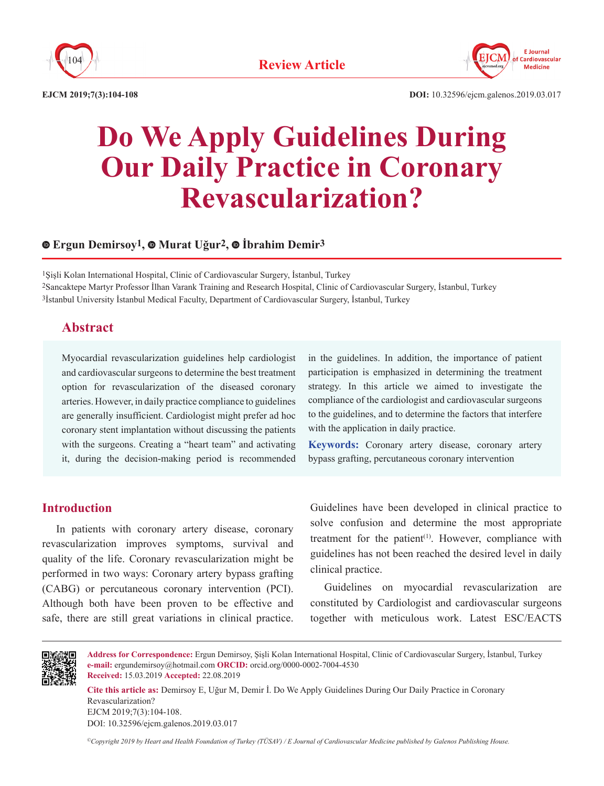



# **Do We Apply Guidelines During Our Daily Practice in Coronary Revascularization?**

## **Ergun Demirsoy1,Murat Uğur2,İbrahim Demir3**

1Şişli Kolan International Hospital, Clinic of Cardiovascular Surgery, İstanbul, Turkey 2Sancaktepe Martyr Professor İlhan Varank Training and Research Hospital, Clinic of Cardiovascular Surgery, İstanbul, Turkey 3İstanbul University İstanbul Medical Faculty, Department of Cardiovascular Surgery, İstanbul, Turkey

## **Abstract**

Myocardial revascularization guidelines help cardiologist and cardiovascular surgeons to determine the best treatment option for revascularization of the diseased coronary arteries. However, in daily practice compliance to guidelines are generally insufficient. Cardiologist might prefer ad hoc coronary stent implantation without discussing the patients with the surgeons. Creating a "heart team" and activating it, during the decision-making period is recommended

## in the guidelines. In addition, the importance of patient participation is emphasized in determining the treatment strategy. In this article we aimed to investigate the compliance of the cardiologist and cardiovascular surgeons to the guidelines, and to determine the factors that interfere with the application in daily practice.

**Keywords:** Coronary artery disease, coronary artery bypass grafting, percutaneous coronary intervention

# **Introduction**

In patients with coronary artery disease, coronary revascularization improves symptoms, survival and quality of the life. Coronary revascularization might be performed in two ways: Coronary artery bypass grafting (CABG) or percutaneous coronary intervention (PCI). Although both have been proven to be effective and safe, there are still great variations in clinical practice.

Guidelines have been developed in clinical practice to solve confusion and determine the most appropriate treatment for the patient<sup>(1)</sup>. However, compliance with guidelines has not been reached the desired level in daily clinical practice.

Guidelines on myocardial revascularization are constituted by Cardiologist and cardiovascular surgeons together with meticulous work. Latest ESC/EACTS



**Address for Correspondence:** Ergun Demirsoy, Şişli Kolan International Hospital, Clinic of Cardiovascular Surgery, İstanbul, Turkey **e-mail:** ergundemirsoy@hotmail.com **ORCID:** orcid.org/0000-0002-7004-4530 **Received:** 15.03.2019 **Accepted:** 22.08.2019

**Cite this article as:** Demirsoy E, Uğur M, Demir İ. Do We Apply Guidelines During Our Daily Practice in Coronary Revascularization? EJCM 2019;7(3):104-108. DOI: 10.32596/ejcm.galenos.2019.03.017

*©Copyright 2019 by Heart and Health Foundation of Turkey (TÜSAV) / E Journal of Cardiovascular Medicine published by Galenos Publishing House.*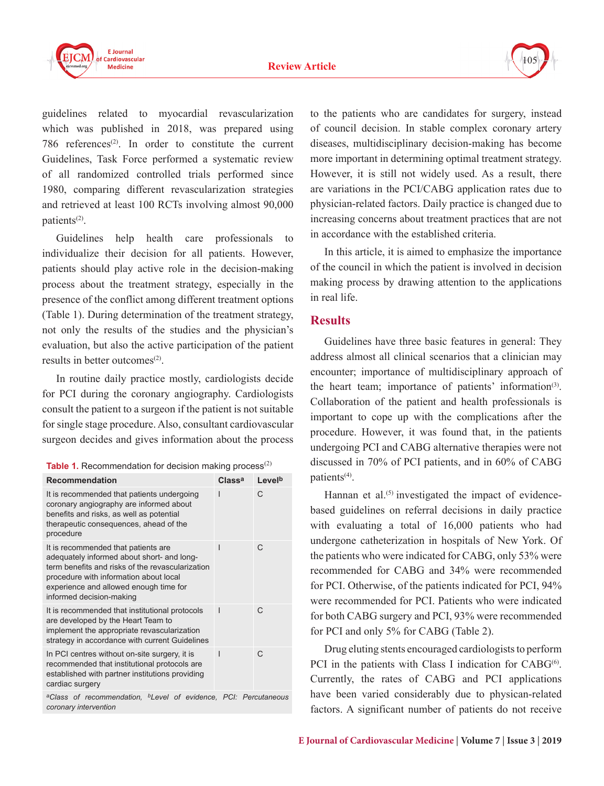

guidelines related to myocardial revascularization which was published in 2018, was prepared using 786 references(2). In order to constitute the current Guidelines, Task Force performed a systematic review of all randomized controlled trials performed since 1980, comparing different revascularization strategies and retrieved at least 100 RCTs involving almost 90,000 patients(2).

Guidelines help health care professionals to individualize their decision for all patients. However, patients should play active role in the decision-making process about the treatment strategy, especially in the presence of the conflict among different treatment options (Table 1). During determination of the treatment strategy, not only the results of the studies and the physician's evaluation, but also the active participation of the patient results in better outcomes(2).

In routine daily practice mostly, cardiologists decide for PCI during the coronary angiography. Cardiologists consult the patient to a surgeon if the patient is not suitable for single stage procedure. Also, consultant cardiovascular surgeon decides and gives information about the process

| Table 1. Recommendation for decision making process $^{(2)}$ |  |  |
|--------------------------------------------------------------|--|--|
|--------------------------------------------------------------|--|--|

| <b>Recommendation</b>                                                                                                                                                                                                                                 | Class <sup>a</sup> | Levelb |
|-------------------------------------------------------------------------------------------------------------------------------------------------------------------------------------------------------------------------------------------------------|--------------------|--------|
| It is recommended that patients undergoing<br>coronary angiography are informed about<br>benefits and risks, as well as potential<br>therapeutic consequences, ahead of the<br>procedure                                                              |                    | C      |
| It is recommended that patients are<br>adequately informed about short- and long-<br>term benefits and risks of the revascularization<br>procedure with information about local<br>experience and allowed enough time for<br>informed decision-making |                    | C      |
| It is recommended that institutional protocols<br>are developed by the Heart Team to<br>implement the appropriate revascularization<br>strategy in accordance with current Guidelines                                                                 |                    | C      |
| In PCI centres without on-site surgery, it is<br>recommended that institutional protocols are<br>established with partner institutions providing<br>cardiac surgery                                                                                   |                    | $\cap$ |
| <sup>a</sup> Class of recommendation, <sup>b</sup> Level of evidence, PCI: Percutaneous<br>coronary intervention                                                                                                                                      |                    |        |

to the patients who are candidates for surgery, instead of council decision. In stable complex coronary artery diseases, multidisciplinary decision-making has become more important in determining optimal treatment strategy. However, it is still not widely used. As a result, there are variations in the PCI/CABG application rates due to physician-related factors. Daily practice is changed due to increasing concerns about treatment practices that are not in accordance with the established criteria.

In this article, it is aimed to emphasize the importance of the council in which the patient is involved in decision making process by drawing attention to the applications in real life.

## **Results**

Guidelines have three basic features in general: They address almost all clinical scenarios that a clinician may encounter; importance of multidisciplinary approach of the heart team; importance of patients' information<sup>(3)</sup>. Collaboration of the patient and health professionals is important to cope up with the complications after the procedure. However, it was found that, in the patients undergoing PCI and CABG alternative therapies were not discussed in 70% of PCI patients, and in 60% of CABG patients(4).

Hannan et al. $(5)$  investigated the impact of evidencebased guidelines on referral decisions in daily practice with evaluating a total of 16,000 patients who had undergone catheterization in hospitals of New York. Of the patients who were indicated for CABG, only 53% were recommended for CABG and 34% were recommended for PCI. Otherwise, of the patients indicated for PCI, 94% were recommended for PCI. Patients who were indicated for both CABG surgery and PCI, 93% were recommended for PCI and only 5% for CABG (Table 2).

Drug eluting stents encouraged cardiologists to perform PCI in the patients with Class I indication for  $CABG^{(6)}$ . Currently, the rates of CABG and PCI applications have been varied considerably due to physican-related factors. A significant number of patients do not receive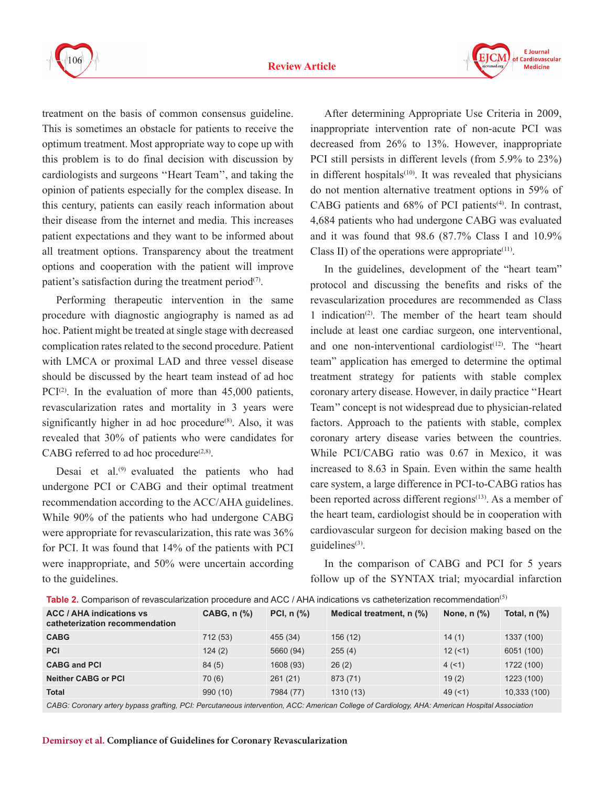



treatment on the basis of common consensus guideline. This is sometimes an obstacle for patients to receive the optimum treatment. Most appropriate way to cope up with this problem is to do final decision with discussion by cardiologists and surgeons ''Heart Team'', and taking the opinion of patients especially for the complex disease. In this century, patients can easily reach information about their disease from the internet and media. This increases patient expectations and they want to be informed about all treatment options. Transparency about the treatment options and cooperation with the patient will improve patient's satisfaction during the treatment period $(7)$ .

Performing therapeutic intervention in the same procedure with diagnostic angiography is named as ad hoc. Patient might be treated at single stage with decreased complication rates related to the second procedure. Patient with LMCA or proximal LAD and three vessel disease should be discussed by the heart team instead of ad hoc PCI $(2)$ . In the evaluation of more than 45,000 patients, revascularization rates and mortality in 3 years were significantly higher in ad hoc procedure $(8)$ . Also, it was revealed that 30% of patients who were candidates for CABG referred to ad hoc procedure<sup> $(2,8)$ </sup>.

Desai et al.<sup>(9)</sup> evaluated the patients who had undergone PCI or CABG and their optimal treatment recommendation according to the ACC/AHA guidelines. While 90% of the patients who had undergone CABG were appropriate for revascularization, this rate was 36% for PCI. It was found that 14% of the patients with PCI were inappropriate, and 50% were uncertain according to the guidelines.

After determining Appropriate Use Criteria in 2009, inappropriate intervention rate of non-acute PCI was decreased from 26% to 13%. However, inappropriate PCI still persists in different levels (from 5.9% to 23%) in different hospitals $(10)$ . It was revealed that physicians do not mention alternative treatment options in 59% of CABG patients and  $68\%$  of PCI patients<sup>(4)</sup>. In contrast, 4,684 patients who had undergone CABG was evaluated and it was found that 98.6 (87.7% Class I and 10.9% Class II) of the operations were appropriate $(11)$ .

In the guidelines, development of the "heart team" protocol and discussing the benefits and risks of the revascularization procedures are recommended as Class 1 indication(2). The member of the heart team should include at least one cardiac surgeon, one interventional, and one non-interventional cardiologist<sup>(12)</sup>. The "heart team" application has emerged to determine the optimal treatment strategy for patients with stable complex coronary artery disease. However, in daily practice ''Heart Team'' concept is not widespread due to physician-related factors. Approach to the patients with stable, complex coronary artery disease varies between the countries. While PCI/CABG ratio was 0.67 in Mexico, it was increased to 8.63 in Spain. Even within the same health care system, a large difference in PCI-to-CABG ratios has been reported across different regions<sup>(13)</sup>. As a member of the heart team, cardiologist should be in cooperation with cardiovascular surgeon for decision making based on the guidelines<sup>(3)</sup>.

In the comparison of CABG and PCI for 5 years follow up of the SYNTAX trial; myocardial infarction

| <b>TANIC 4.</b> Companion of revascular zation procedure and <i>FOOTTER INTERNATION</i> TO valification recommissioning |                                      |                                     |                          |                                      |                  |  |
|-------------------------------------------------------------------------------------------------------------------------|--------------------------------------|-------------------------------------|--------------------------|--------------------------------------|------------------|--|
| <b>ACC / AHA indications vs</b><br>catheterization recommendation                                                       | $CABG, n$ $\left(\frac{9}{6}\right)$ | PCI, $n$ $\left(\frac{9}{6}\right)$ | Medical treatment, n (%) | None, $n$ $\left(\frac{9}{6}\right)$ | Total, $n$ $%$ ) |  |
| <b>CABG</b>                                                                                                             | 712 (53)                             | 455 (34)                            | 156(12)                  | 14(1)                                | 1337 (100)       |  |
| <b>PCI</b>                                                                                                              | 124(2)                               | 5660 (94)                           | 255(4)                   | 12(51)                               | 6051 (100)       |  |
| <b>CABG and PCI</b>                                                                                                     | 84(5)                                | 1608 (93)                           | 26(2)                    | 4(1)                                 | 1722 (100)       |  |
| <b>Neither CABG or PCI</b>                                                                                              | 70(6)                                | 261(21)                             | 873 (71)                 | 19(2)                                | 1223 (100)       |  |
| <b>Total</b>                                                                                                            | 990 (10)                             | 7984 (77)                           | 1310 (13)                | 49(1)                                | 10,333 (100)     |  |
|                                                                                                                         |                                      |                                     |                          |                                      |                  |  |

**Table 2.** Comparison of revascularization procedure and ACC / AHA indications vs catheterization recommendation(5)

*CABG: Coronary artery bypass grafting, PCI: Percutaneous intervention, ACC: American College of Cardiology, AHA: American Hospital Association*

#### **Demirsoy et al. Compliance of Guidelines for Coronary Revascularization**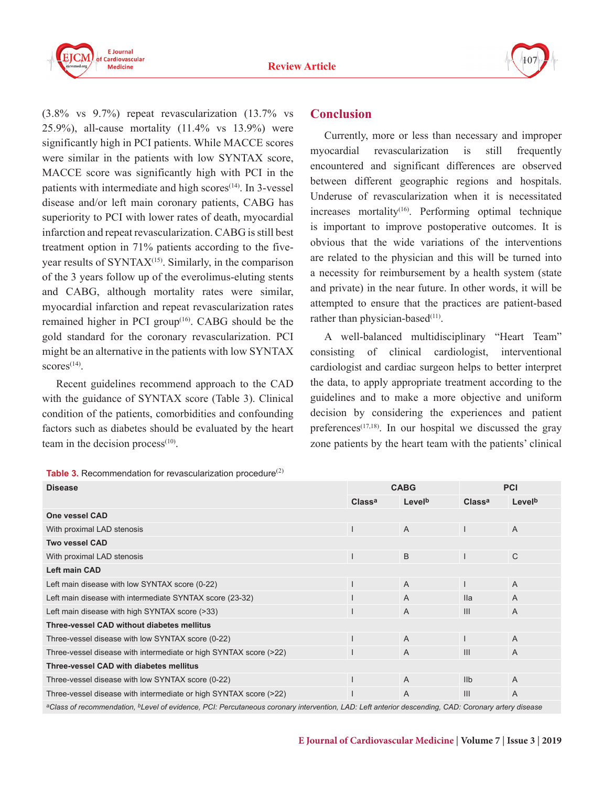



(3.8% vs 9.7%) repeat revascularization (13.7% vs 25.9%), all-cause mortality (11.4% vs 13.9%) were significantly high in PCI patients. While MACCE scores were similar in the patients with low SYNTAX score, MACCE score was significantly high with PCI in the patients with intermediate and high  $\text{scores}^{(14)}$ . In 3-vessel disease and/or left main coronary patients, CABG has superiority to PCI with lower rates of death, myocardial infarction and repeat revascularization. CABG is still best treatment option in 71% patients according to the fiveyear results of SYNTAX<sup>(15)</sup>. Similarly, in the comparison of the 3 years follow up of the everolimus-eluting stents and CABG, although mortality rates were similar, myocardial infarction and repeat revascularization rates remained higher in PCI group $(16)$ . CABG should be the gold standard for the coronary revascularization. PCI might be an alternative in the patients with low SYNTAX  $scores<sup>(14)</sup>$ .

Recent guidelines recommend approach to the CAD with the guidance of SYNTAX score (Table 3). Clinical condition of the patients, comorbidities and confounding factors such as diabetes should be evaluated by the heart team in the decision process $(10)$ .

### **Table 3.** Recommendation for revascularization procedure<sup>(2)</sup>

## **Conclusion**

Currently, more or less than necessary and improper myocardial revascularization is still frequently encountered and significant differences are observed between different geographic regions and hospitals. Underuse of revascularization when it is necessitated  $increases$  mortality<sup>(16)</sup>. Performing optimal technique is important to improve postoperative outcomes. It is obvious that the wide variations of the interventions are related to the physician and this will be turned into a necessity for reimbursement by a health system (state and private) in the near future. In other words, it will be attempted to ensure that the practices are patient-based rather than physician-based<sup>(11)</sup>.

A well-balanced multidisciplinary "Heart Team" consisting of clinical cardiologist, interventional cardiologist and cardiac surgeon helps to better interpret the data, to apply appropriate treatment according to the guidelines and to make a more objective and uniform decision by considering the experiences and patient preferences<sup> $(17,18)$ </sup>. In our hospital we discussed the gray zone patients by the heart team with the patients' clinical

| <b>Disease</b>                                                    |                    | <b>CABG</b>                            |                    | <b>PCI</b>         |  |
|-------------------------------------------------------------------|--------------------|----------------------------------------|--------------------|--------------------|--|
|                                                                   | Class <sup>a</sup> | Levelb                                 | Class <sup>a</sup> | Level <sup>b</sup> |  |
| <b>One vessel CAD</b>                                             |                    |                                        |                    |                    |  |
| With proximal LAD stenosis                                        |                    | $\overline{A}$                         |                    | $\overline{A}$     |  |
| <b>Two vessel CAD</b>                                             |                    |                                        |                    |                    |  |
| With proximal LAD stenosis                                        |                    | B                                      |                    | $\mathsf{C}$       |  |
| <b>Left main CAD</b>                                              |                    |                                        |                    |                    |  |
| Left main disease with low SYNTAX score (0-22)                    |                    | $\overline{A}$                         |                    | $\overline{A}$     |  |
| Left main disease with intermediate SYNTAX score (23-32)          |                    | $\overline{A}$                         | <b>Ila</b>         | A                  |  |
| Left main disease with high SYNTAX score (>33)                    |                    | $\overline{A}$                         | III                | $\overline{A}$     |  |
| Three-vessel CAD without diabetes mellitus                        |                    |                                        |                    |                    |  |
| Three-vessel disease with low SYNTAX score (0-22)                 |                    | $\overline{A}$                         |                    | $\overline{A}$     |  |
| Three-vessel disease with intermediate or high SYNTAX score (>22) |                    | $\overline{A}$                         | III                | $\overline{A}$     |  |
| Three-vessel CAD with diabetes mellitus                           |                    |                                        |                    |                    |  |
| Three-vessel disease with low SYNTAX score (0-22)                 |                    | $\overline{A}$                         | I <sub>1</sub>     | $\overline{A}$     |  |
| Three-vessel disease with intermediate or high SYNTAX score (>22) |                    | $\overline{A}$                         | III                | $\overline{A}$     |  |
|                                                                   |                    | $\mathbf{r}$ $\mathbf{r}$ $\mathbf{r}$ |                    |                    |  |

*aClass of recommendation, bLevel of evidence, PCI: Percutaneous coronary intervention, LAD: Left anterior descending, CAD: Coronary artery disease*